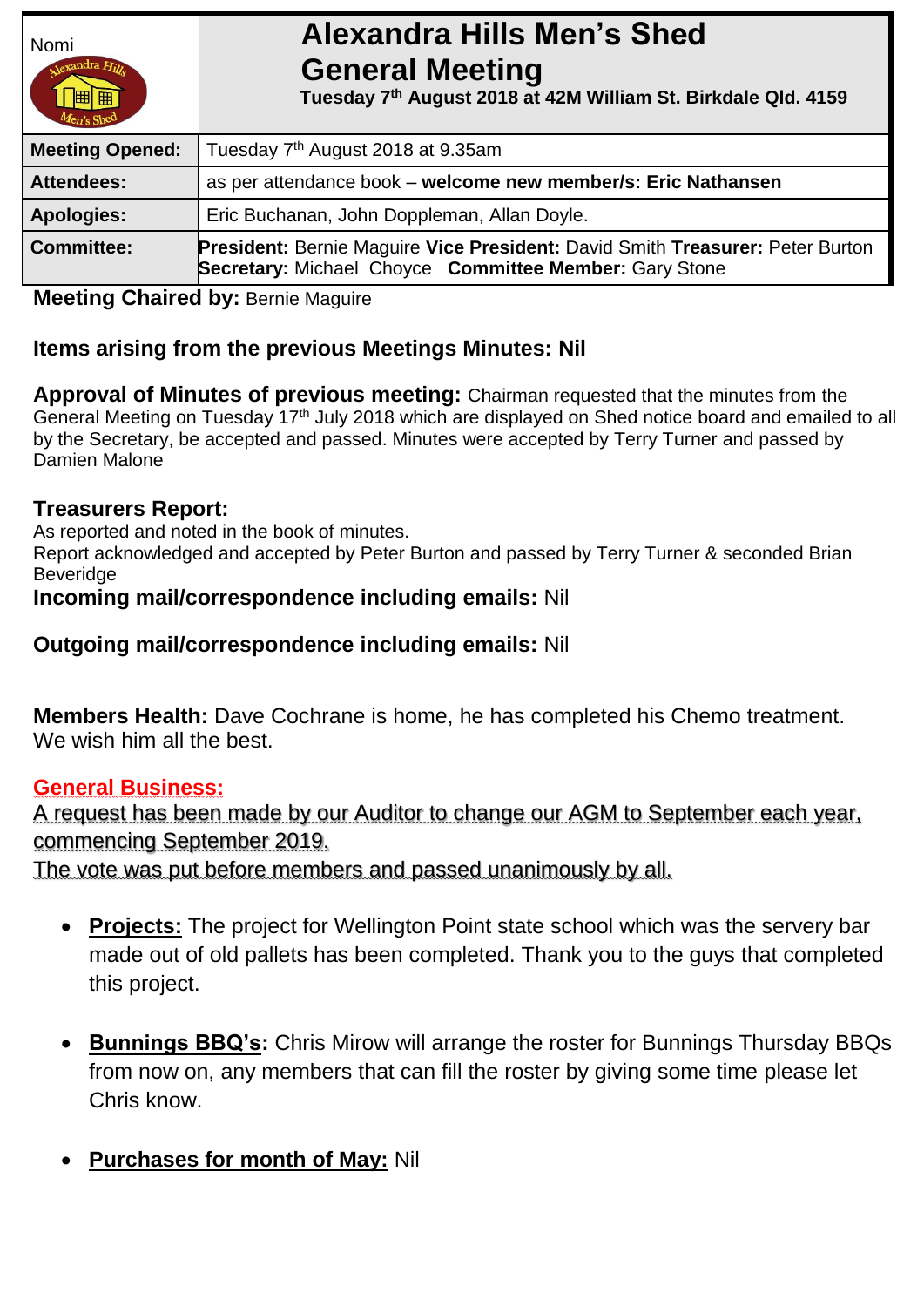

# Nomi **Alexandra Hills Men's Shed General Meeting**

 **Tuesday 7 th August 2018 at 42M William St. Birkdale Qld. 4159** 

| $\mu$ en's She $\mu$   |                                                                                                                                                |  |
|------------------------|------------------------------------------------------------------------------------------------------------------------------------------------|--|
| <b>Meeting Opened:</b> | Tuesday 7 <sup>th</sup> August 2018 at 9.35am                                                                                                  |  |
| <b>Attendees:</b>      | as per attendance book - welcome new member/s: Eric Nathansen                                                                                  |  |
| <b>Apologies:</b>      | Eric Buchanan, John Doppleman, Allan Doyle.                                                                                                    |  |
| <b>Committee:</b>      | <b>President: Bernie Maguire Vice President: David Smith Treasurer: Peter Burton</b><br>Secretary: Michael Choyce Committee Member: Gary Stone |  |

# **Meeting Chaired by: Bernie Maguire**

# **Items arising from the previous Meetings Minutes: Nil**

**Approval of Minutes of previous meeting:** Chairman requested that the minutes from the General Meeting on Tuesday 17th July 2018 which are displayed on Shed notice board and emailed to all by the Secretary, be accepted and passed. Minutes were accepted by Terry Turner and passed by Damien Malone

# **Treasurers Report:**

As reported and noted in the book of minutes.

Report acknowledged and accepted by Peter Burton and passed by Terry Turner & seconded Brian **Beveridge** 

### **Incoming mail/correspondence including emails:** Nil

**Outgoing mail/correspondence including emails:** Nil

**Members Health:** Dave Cochrane is home, he has completed his Chemo treatment. We wish him all the best.

# **General Business:**

A request has been made by our Auditor to change our AGM to September each year, commencing September 2019.

The vote was put before members and passed unanimously by all.

- **Projects:** The project for Wellington Point state school which was the servery bar made out of old pallets has been completed. Thank you to the guys that completed this project.
- **Bunnings BBQ's:** Chris Mirow will arrange the roster for Bunnings Thursday BBQs from now on, any members that can fill the roster by giving some time please let Chris know.
- **Purchases for month of May:** Nil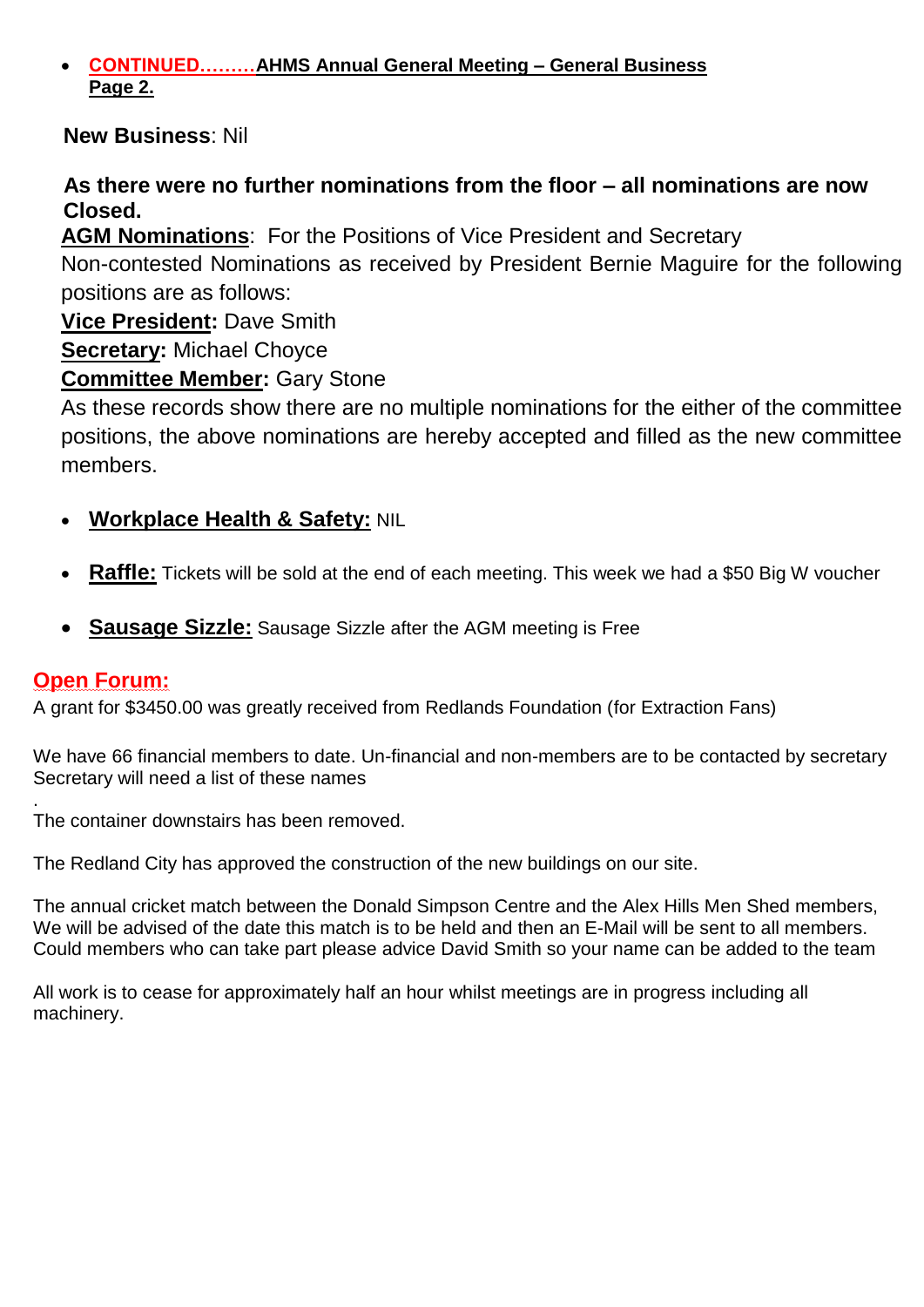#### **CONTINUED………AHMS Annual General Meeting – General Business Page 2.**

# **New Business**: Nil

# **As there were no further nominations from the floor – all nominations are now Closed.**

**AGM Nominations**: For the Positions of Vice President and Secretary

Non-contested Nominations as received by President Bernie Maguire for the following positions are as follows:

**Vice President:** Dave Smith

**Secretary:** Michael Choyce

**Committee Member:** Gary Stone

As these records show there are no multiple nominations for the either of the committee positions, the above nominations are hereby accepted and filled as the new committee members.

- **Workplace Health & Safety:** NIL
- **Raffle:** Tickets will be sold at the end of each meeting. This week we had a \$50 Big W voucher
- **Sausage Sizzle:** Sausage Sizzle after the AGM meeting is Free

# **Open Forum:**

A grant for \$3450.00 was greatly received from Redlands Foundation (for Extraction Fans)

We have 66 financial members to date. Un-financial and non-members are to be contacted by secretary Secretary will need a list of these names

. The container downstairs has been removed.

The Redland City has approved the construction of the new buildings on our site.

The annual cricket match between the Donald Simpson Centre and the Alex Hills Men Shed members, We will be advised of the date this match is to be held and then an E-Mail will be sent to all members. Could members who can take part please advice David Smith so your name can be added to the team

All work is to cease for approximately half an hour whilst meetings are in progress including all machinery.